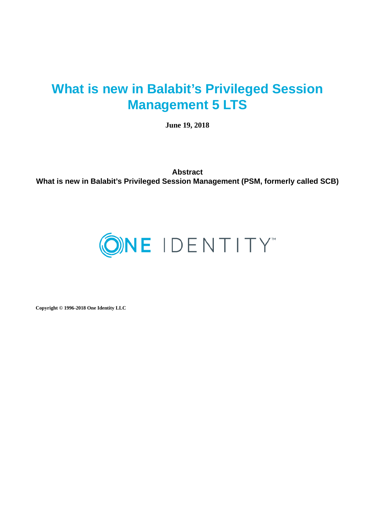# **What is new in Balabit's Privileged Session Management 5 LTS**

**June 19, 2018**

**Abstract What is new in Balabit's Privileged Session Management (PSM, formerly called SCB)**



**Copyright © 1996-2018 One Identity LLC**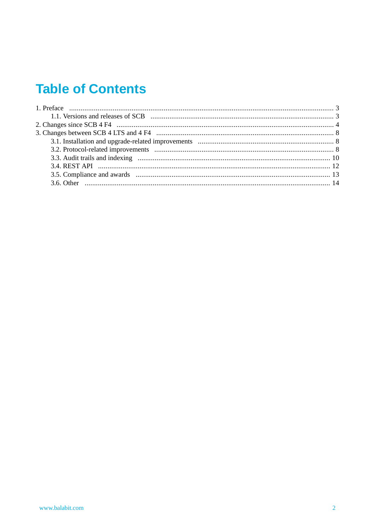# **Table of Contents**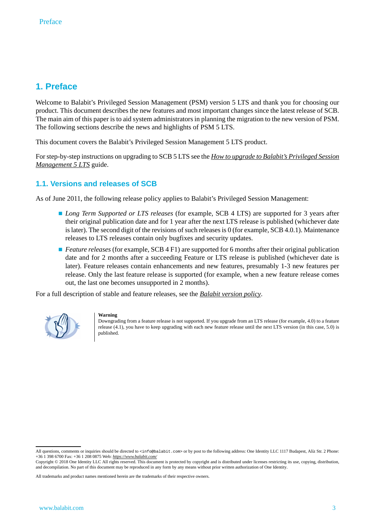# <span id="page-2-0"></span>**1. Preface**

Welcome to Balabit's Privileged Session Management (PSM) version 5 LTS and thank you for choosing our product. This document describes the new features and most important changes since the latest release of SCB. The main aim of this paper is to aid system administrators in planning the migration to the new version of PSM. The following sections describe the news and highlights of PSM 5 LTS.

This document covers the Balabit's Privileged Session Management 5 LTS product.

<span id="page-2-1"></span>Forstep-by-step instructions on upgrading to SCB 5 LTS see the *How to upgrade to Balabit's [Privileged](../../scb-guide-upgrade/pdf/scb-guide-upgrade.pdf#scb-guide-upgrade) Session [Management](../../scb-guide-upgrade/pdf/scb-guide-upgrade.pdf#scb-guide-upgrade) 5 LTS* guide.

# **1.1. Versions and releases of SCB**

As of June 2011, the following release policy applies to Balabit's Privileged Session Management:

- *Long Term Supported or LTS releases* (for example, SCB 4 LTS) are supported for 3 years after their original publication date and for 1 year after the next LTS release is published (whichever date is later). The second digit of the revisions of such releases is 0 (for example, SCB 4.0.1). Maintenance releases to LTS releases contain only bugfixes and security updates.
- *Feature releases* (for example, SCB 4 F1) are supported for 6 months after their original publication date and for 2 months after a succeeding Feature or LTS release is published (whichever date is later). Feature releases contain enhancements and new features, presumably 1-3 new features per release. Only the last feature release is supported (for example, when a new feature release comes out, the last one becomes unsupported in 2 months).

For a full description of stable and feature releases, see the *Balabit [version](https://www.balabit.com/support/version-policy) policy*.



#### **Warning**

Downgrading from a feature release is not supported. If you upgrade from an LTS release (for example, 4.0) to a feature release (4.1), you have to keep upgrading with each new feature release until the next LTS version (in this case, 5.0) is published.

All questions, comments or inquiries should be directed to <info@balabit.com> or by post to the following address: One Identity LLC 1117 Budapest, Alíz Str. 2 Phone: +36 1 398 6700 Fax: +36 1 208 0875 Web: *<https://www.balabit.com/>*

Copyright © 2018 One Identity LLC All rights reserved. This document is protected by copyright and is distributed under licenses restricting its use, copying, distribution, and decompilation. No part of this document may be reproduced in any form by any means without prior written authorization of One Identity.

All trademarks and product names mentioned herein are the trademarks of their respective owners.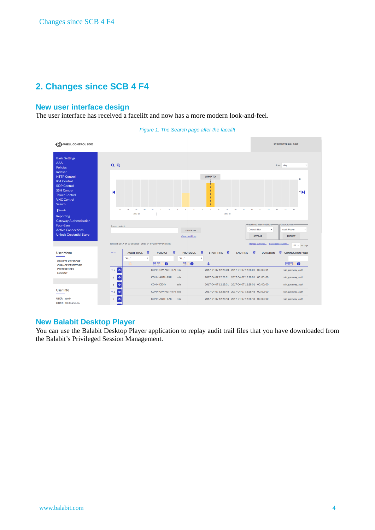# <span id="page-3-0"></span>**2. Changes since SCB 4 F4**

# **New user interface design**

The user interface has received a facelift and now has a more modern look-and-feel.



*Figure 1. The Search page after the facelift*

## **New Balabit Desktop Player**

You can use the Balabit Desktop Player application to replay audit trail files that you have downloaded from the Balabit's Privileged Session Management.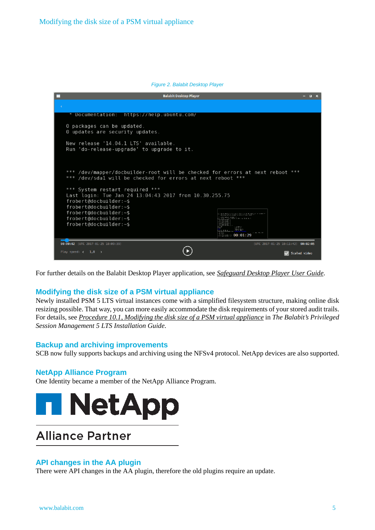#### *Figure 2. Balabit Desktop Player*

|                                   | <b>Balabit Desktop Player</b>                                                                                                                | $\Box$ $\times$ |  |
|-----------------------------------|----------------------------------------------------------------------------------------------------------------------------------------------|-----------------|--|
|                                   |                                                                                                                                              |                 |  |
|                                   | https://help.ubuntu.com/<br>Documentation:                                                                                                   |                 |  |
|                                   | 0 packages can be updated.<br>0 updates are security updates.                                                                                |                 |  |
|                                   | New release '14.04.1 LTS' available.<br>Run 'do-release-upgrade' to upgrade to it.                                                           |                 |  |
|                                   | *** /dev/mapper/docbuilder-root will be checked for errors at next reboot ***<br>*** /dev/sdal will be checked for errors at next reboot *** |                 |  |
|                                   | *** System restart required ***<br>Last login: Tue Jan 24 13:04:43 2017 from 10.30.255.75                                                    |                 |  |
|                                   | frobert@docbuilder:~\$<br>frobert@docbuilder:~\$                                                                                             |                 |  |
|                                   | frobert@docbuilder:~\$                                                                                                                       |                 |  |
|                                   | frobert@docbuilder:~\$<br>11.41.1 (9) Tra 16-16-19                                                                                           |                 |  |
|                                   | $frobertddocbuilder:-$$                                                                                                                      |                 |  |
|                                   | come a characteri<br><b>Figure 1:00:01:29</b>                                                                                                |                 |  |
|                                   | 00:00:02 (UTC 2017-01-25 10:09:39)<br>(UTC 2017-01-25 10:11:42) 00:02:05                                                                     |                 |  |
| Play speed: $\langle 1,0 \rangle$ | Scaled video                                                                                                                                 |                 |  |

For further details on the Balabit Desktop Player application, see *[Safeguard](../../scb-guide-desktop-player/pdf/scb-guide-desktop-player.pdf#scb-guide-desktop-player) Desktop Player User Guide*.

# **Modifying the disk size of a PSM virtual appliance**

Newly installed PSM 5 LTS virtual instances come with a simplified filesystem structure, making online disk resizing possible. That way, you can more easily accommodate the disk requirements of your stored audit trails. For details, see *[Procedure](../../scb-guide-install/pdf/scb-guide-install.pdf#virtual-disk-resize) 10.1, Modifying the disk size of a PSM virtual appliance* in *The Balabit's Privileged Session Management 5 LTS Installation Guide*.

#### **Backup and archiving improvements**

SCB now fully supports backups and archiving using the NFSv4 protocol. NetApp devices are also supported.

#### **NetApp Alliance Program**

One Identity became a member of the NetApp Alliance Program.



# **Alliance Partner**

#### **API changes in the AA plugin**

There were API changes in the AA plugin, therefore the old plugins require an update.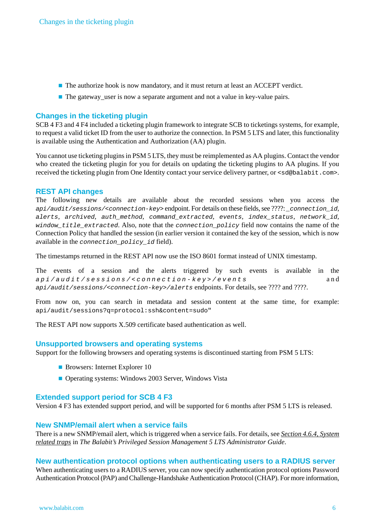- The authorize hook is now mandatory, and it must return at least an ACCEPT verdict.
- The gateway\_user is now a separate argument and not a value in key-value pairs.

# **Changes in the ticketing plugin**

SCB 4 F3 and 4 F4 included a ticketing plugin framework to integrate SCB to ticketings systems, for example, to request a valid ticket ID from the user to authorize the connection. In PSM 5 LTS and later, this functionality is available using the Authentication and Authorization (AA) plugin.

You cannot use ticketing plugins in PSM 5 LTS, they must be reimplemented as AA plugins. Contact the vendor who created the ticketing plugin for you for details on updating the ticketing plugins to AA plugins. If you received the ticketing plugin from One Identity contact your service delivery partner, or <sd@balabit.com>.

## **REST API changes**

The following new details are available about the recorded sessions when you access the *api/audit/sessions/<connection-key>* endpoint. For details on these fields,see ????: *\_connection\_id*, *alerts*, *archived*, *auth\_method*, *command\_extracted*, *events*, *index\_status*, *network\_id*, *window\_title\_extracted*. Also, note that the *connection\_policy* field now contains the name of the Connection Policy that handled the session (in earlier version it contained the key of the session, which is now available in the *connection\_policy\_id* field).

The timestamps returned in the REST API now use the ISO 8601 format instead of UNIX timestamp.

The events of a session and the alerts triggered by such events is available in the *api/audit/sessions/<connection-key>/events* and *api/audit/sessions/<connection-key>/alerts* endpoints. For details, see ???? and ????.

From now on, you can search in metadata and session content at the same time, for example: api/audit/sessions?q=protocol:ssh&content=sudo"

The REST API now supports X.509 certificate based authentication as well.

#### **Unsupported browsers and operating systems**

Support for the following browsers and operating systems is discontinued starting from PSM 5 LTS:

- Browsers: Internet Explorer 10
- Operating systems: Windows 2003 Server, Windows Vista

#### **Extended support period for SCB 4 F3**

Version 4 F3 has extended support period, and will be supported for 6 months after PSM 5 LTS is released.

#### **New SNMP/email alert when a service fails**

There is a new SNMP/email alert, which is triggered when a service fails. For details, see *[Section](../../scb-guide-admin/pdf/scb-guide-admin.pdf#xcb-alerts-system) 4.6.4, System [related](../../scb-guide-admin/pdf/scb-guide-admin.pdf#xcb-alerts-system) traps* in *The Balabit's Privileged Session Management 5 LTS Administrator Guide*.

#### **New authentication protocol options when authenticating users to a RADIUS server**

When authenticating users to a RADIUS server, you can now specify authentication protocol options Password Authentication Protocol (PAP) and Challenge-Handshake Authentication Protocol (CHAP). For more information,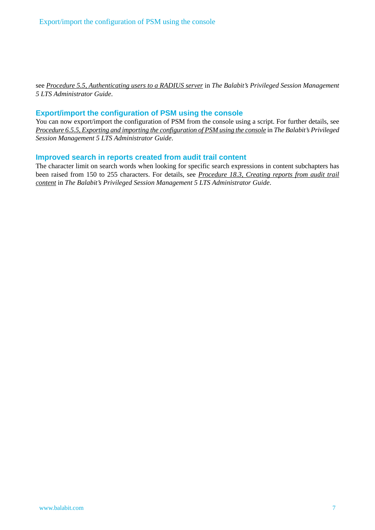see *Procedure 5.5, [Authenticating](../../scb-guide-admin/pdf/scb-guide-admin.pdf#xcb-radius-authentication) users to a RADIUS server* in *The Balabit's Privileged Session Management 5 LTS Administrator Guide*.

# **Export/import the configuration of PSM using the console**

You can now export/import the configuration of PSM from the console using a script. For further details, see *Procedure 6.5.5, Exporting and importing the [configuration](../../scb-guide-admin/pdf/scb-guide-admin.pdf#xcb-export-import-config-from-console) of PSM using the console* in *The Balabit's Privileged Session Management 5 LTS Administrator Guide*.

# **Improved search in reports created from audit trail content**

The character limit on search words when looking for specific search expressions in content subchapters has been raised from 150 to 255 characters. For details, see *[Procedure](../../scb-guide-admin/pdf/scb-guide-admin.pdf#scb-audit-trail-reports) 18.3, Creating reports from audit trail [content](../../scb-guide-admin/pdf/scb-guide-admin.pdf#scb-audit-trail-reports)* in *The Balabit's Privileged Session Management 5 LTS Administrator Guide*.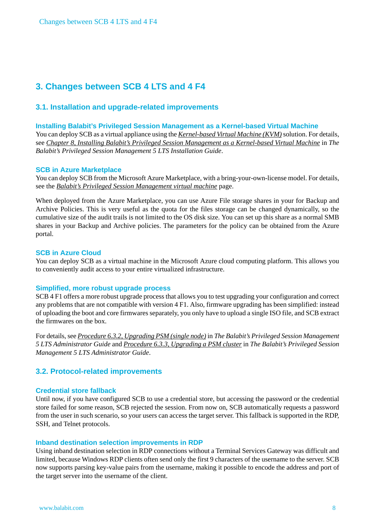# <span id="page-7-1"></span><span id="page-7-0"></span>**3. Changes between SCB 4 LTS and 4 F4**

# **3.1. Installation and upgrade-related improvements**

#### **Installing Balabit's Privileged Session Management as a Kernel-based Virtual Machine**

You can deploy SCB as a virtual appliance using the *[Kernel-based](http://www.linux-kvm.org/page/Main_Page) Virtual Machine (KVM)*solution. For details, see *Chapter 8, Installing Balabit's Privileged Session Management as a [Kernel-based](../../scb-guide-install/pdf/scb-guide-install.pdf#app-kvm) Virtual Machine* in *The Balabit's Privileged Session Management 5 LTS Installation Guide*.

#### **SCB in Azure Marketplace**

You can deploy SCB from the Microsoft Azure Marketplace, with a bring-your-own-license model. For details, see the *Balabit's Privileged Session [Management](https://azuremarketplace.microsoft.com/en-us/marketplace/apps/balabit.balabit-shell-control-box) virtual machine* page.

When deployed from the Azure Marketplace, you can use Azure File storage shares in your for Backup and Archive Policies. This is very useful as the quota for the files storage can be changed dynamically, so the cumulative size of the audit trails is not limited to the OS disk size. You can set up this share as a normal SMB shares in your Backup and Archive policies. The parameters for the policy can be obtained from the Azure portal.

#### **SCB in Azure Cloud**

You can deploy SCB as a virtual machine in the Microsoft Azure cloud computing platform. This allows you to conveniently audit access to your entire virtualized infrastructure.

#### **Simplified, more robust upgrade process**

SCB 4 F1 offers a more robust upgrade process that allows you to test upgrading your configuration and correct any problems that are not compatible with version 4 F1. Also, firmware upgrading has been simplified: instead of uploading the boot and core firmwares separately, you only have to upload a single ISO file, and SCB extract the firmwares on the box.

<span id="page-7-2"></span>For details,see *Procedure 6.3.2, [Upgrading](../../scb-guide-admin/pdf/scb-guide-admin.pdf#xcb-firmware-update) PSM (single node)* in *The Balabit's Privileged Session Management 5 LTS Administrator Guide* and *Procedure 6.3.3, [Upgrading](../../scb-guide-admin/pdf/scb-guide-admin.pdf#xcb-firmware-update-ha) a PSM cluster* in *The Balabit's Privileged Session Management 5 LTS Administrator Guide*.

#### **3.2. Protocol-related improvements**

#### **Credential store fallback**

Until now, if you have configured SCB to use a credential store, but accessing the password or the credential store failed for some reason, SCB rejected the session. From now on, SCB automatically requests a password from the user in such scenario, so your users can access the target server. This fallback is supported in the RDP, SSH, and Telnet protocols.

#### **Inband destination selection improvements in RDP**

Using inband destination selection in RDP connections without a Terminal Services Gateway was difficult and limited, because Windows RDP clients often send only the first 9 characters of the username to the server. SCB now supports parsing key-value pairs from the username, making it possible to encode the address and port of the target server into the username of the client.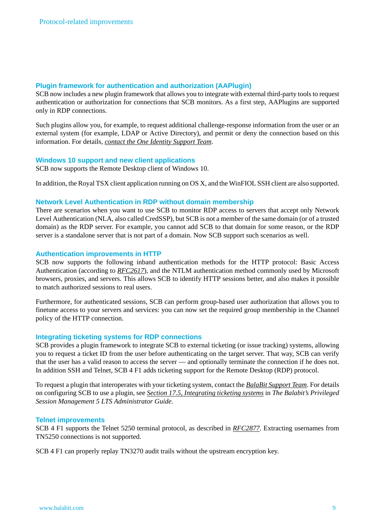## **Plugin framework for authentication and authorization (AAPlugin)**

SCB now includes a new plugin framework that allows you to integrate with external third-party tools to request authentication or authorization for connections that SCB monitors. As a first step, AAPlugins are supported only in RDP connections.

Such plugins allow you, for example, to request additional challenge-response information from the user or an external system (for example, LDAP or Active Directory), and permit or deny the connection based on this information. For details, *contact the One Identity [Support](https://support.oneidentity.com/) Team*.

#### **Windows 10 support and new client applications**

SCB now supports the Remote Desktop client of Windows 10.

In addition, the Royal TSX client application running on OS X, and the WinFIOL SSH client are also supported.

## **Network Level Authentication in RDP without domain membership**

There are scenarios when you want to use SCB to monitor RDP access to servers that accept only Network Level Authentication (NLA, also called CredSSP), but SCB is not a member of the same domain (or of a trusted domain) as the RDP server. For example, you cannot add SCB to that domain for some reason, or the RDP server is a standalone server that is not part of a domain. Now SCB support such scenarios as well.

## **Authentication improvements in HTTP**

SCB now supports the following inband authentication methods for the HTTP protocol: Basic Access Authentication (according to *[RFC2617](https://tools.ietf.org/html/rfc2617)*), and the NTLM authentication method commonly used by Microsoft browsers, proxies, and servers. This allows SCB to identify HTTP sessions better, and also makes it possible to match authorized sessions to real users.

Furthermore, for authenticated sessions, SCB can perform group-based user authorization that allows you to finetune access to your servers and services: you can now set the required group membership in the Channel policy of the HTTP connection.

#### **Integrating ticketing systems for RDP connections**

SCB provides a plugin framework to integrate SCB to external ticketing (or issue tracking) systems, allowing you to request a ticket ID from the user before authenticating on the target server. That way, SCB can verify that the user has a valid reason to access the server — and optionally terminate the connection if he does not. In addition SSH and Telnet, SCB 4 F1 adds ticketing support for the Remote Desktop (RDP) protocol.

To request a plugin that interoperates with your ticketing system, contact the *BalaBit [Support](https://support.balabit.com/) Team*. For details on configuring SCB to use a plugin, see *Section 17.5, [Integrating](../../scb-guide-admin/pdf/scb-guide-admin.pdf#scb-ticketing-integration) ticketing systems* in *The Balabit's Privileged Session Management 5 LTS Administrator Guide*.

#### **Telnet improvements**

SCB 4 F1 supports the Telnet 5250 terminal protocol, as described in *[RFC2877](https://tools.ietf.org/html/rfc2877)*. Extracting usernames from TN5250 connections is not supported.

SCB 4 F1 can properly replay TN3270 audit trails without the upstream encryption key.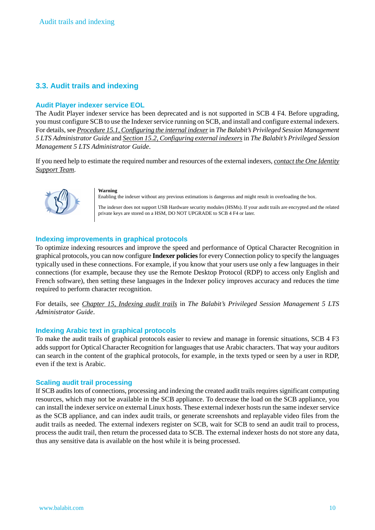# <span id="page-9-0"></span>**3.3. Audit trails and indexing**

#### **Audit Player indexer service EOL**

The Audit Player indexer service has been deprecated and is not supported in SCB 4 F4. Before upgrading, you must configure SCB to use the Indexerservice running on SCB, and install and configure external indexers. For details,see *Procedure 15.1, [Configuring](../../scb-guide-admin/pdf/scb-guide-admin.pdf#scb-fulltext-indexing) the internal indexer*in *The Balabit's Privileged Session Management 5 LTS Administrator Guide* and *Section 15.2, [Configuring](../../scb-guide-admin/pdf/scb-guide-admin.pdf#scb-external-indexer) external indexers* in *The Balabit's Privileged Session Management 5 LTS Administrator Guide*.

If you need help to estimate the required number and resources of the external indexers, *contact the One [Identity](https://support.oneidentity.com/) [Support](https://support.oneidentity.com/) Team*.



#### **Warning**

Enabling the indexer without any previous estimations is dangerous and might result in overloading the box.

The indexer does not support USB Hardware security modules (HSMs). If your audit trails are encrypted and the related private keys are stored on a HSM, DO NOT UPGRADE to SCB 4 F4 or later.

## **Indexing improvements in graphical protocols**

To optimize indexing resources and improve the speed and performance of Optical Character Recognition in graphical protocols, you can now configure **Indexer policies**for every Connection policy to specify the languages typically used in these connections. For example, if you know that your users use only a few languages in their connections (for example, because they use the Remote Desktop Protocol (RDP) to access only English and French software), then setting these languages in the Indexer policy improves accuracy and reduces the time required to perform character recognition.

For details, see *Chapter 15, [Indexing](../../scb-guide-admin/pdf/scb-guide-admin.pdf#scb-indexing-audit-trails) audit trails* in *The Balabit's Privileged Session Management 5 LTS Administrator Guide*.

#### **Indexing Arabic text in graphical protocols**

To make the audit trails of graphical protocols easier to review and manage in forensic situations, SCB 4 F3 adds support for Optical Character Recognition for languages that use Arabic characters. That way your auditors can search in the content of the graphical protocols, for example, in the texts typed or seen by a user in RDP, even if the text is Arabic.

#### **Scaling audit trail processing**

If SCB auditslots of connections, processing and indexing the created audit trailsrequiressignificant computing resources, which may not be available in the SCB appliance. To decrease the load on the SCB appliance, you can install the indexer service on external Linux hosts. These external indexer hosts run the same indexer service as the SCB appliance, and can index audit trails, or generate screenshots and replayable video files from the audit trails as needed. The external indexers register on SCB, wait for SCB to send an audit trail to process, process the audit trail, then return the processed data to SCB. The external indexer hosts do not store any data, thus any sensitive data is available on the host while it is being processed.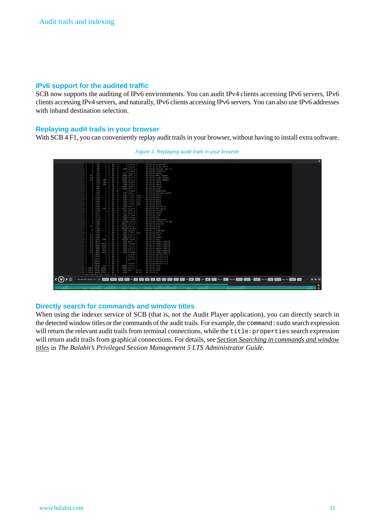## **IPv6 support for the audited traffic**

SCB now supports the auditing of IPv6 environments. You can audit IPv4 clients accessing IPv6 servers, IPv6 clients accessing IPv4 servers, and naturally, IPv6 clients accessing IPv6 servers. You can also use IPv6 addresses with inband destination selection.

#### **Replaying audit trails in your browser**

With SCB 4 F1, you can conveniently replay audit trails in your browser, without having to install extra software.



*Figure 3. Replaying audit trails in your browser*

# **Directly search for commands and window titles**

When using the indexer service of SCB (that is, not the Audit Player application), you can directly search in the detected window titles or the commands of the audit trails. For example, the command:sudo search expression will return the relevant audit trails from terminal connections, while the title: properties search expression will return audit trails from graphical connections. For details, see *Section Searching in [commands](../../scb-guide-admin/pdf/scb-guide-admin.pdf#search-command-title) and window [titles](../../scb-guide-admin/pdf/scb-guide-admin.pdf#search-command-title)* in *The Balabit's Privileged Session Management 5 LTS Administrator Guide*.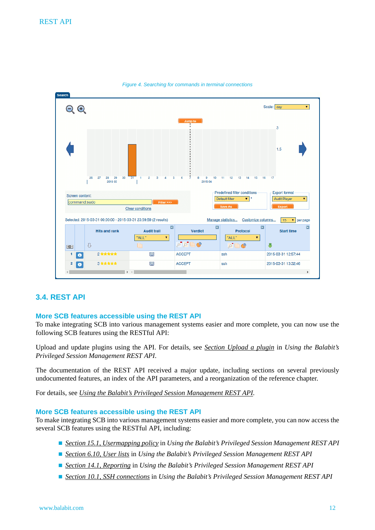

*Figure 4. Searching for commands in terminal connections*

#### <span id="page-11-0"></span>**3.4. REST API**

#### **More SCB features accessible using the REST API**

To make integrating SCB into various management systems easier and more complete, you can now use the following SCB features using the RESTful API:

Upload and update plugins using the API. For details, see *Section [Upload](../../scb-tutorial-rest-api/pdf/scb-tutorial-rest-api.pdf#scb-rest-api-plugins-upload) a plugin* in *Using the Balabit's Privileged Session Management REST API*.

The documentation of the REST API received a major update, including sections on several previously undocumented features, an index of the API parameters, and a reorganization of the reference chapter.

For details, see *Using the Balabit's Privileged Session [Management](../../scb-tutorial-rest-api/pdf/scb-tutorial-rest-api.pdf#scb-tutorial-rest-api) REST API*.

#### **More SCB features accessible using the REST API**

To make integrating SCB into various management systems easier and more complete, you can now access the several SCB features using the RESTful API, including:

- *Section 15.1, [Usermapping](../../scb-tutorial-rest-api/pdf/scb-tutorial-rest-api.pdf#scb-rest-api-policies-usermapping) policy* in *Using the Balabit's Privileged Session Management REST API*
- *[Section](../../scb-tutorial-rest-api/pdf/scb-tutorial-rest-api.pdf#scb-rest-api-policies-userlists)* 6.10, *User lists* in *Using the Balabit's Privileged Session Management REST API*
- *Section 14.1, [Reporting](../../scb-tutorial-rest-api/pdf/scb-tutorial-rest-api.pdf#scb-rest-api-reporting)* in *Using the Balabit's Privileged Session Management REST API*
- *Section* 10.1, *SSH [connections](../../scb-tutorial-rest-api/pdf/scb-tutorial-rest-api.pdf#scb-rest-api-ssh)* in *Using* the Balabit's Privileged Session Management REST API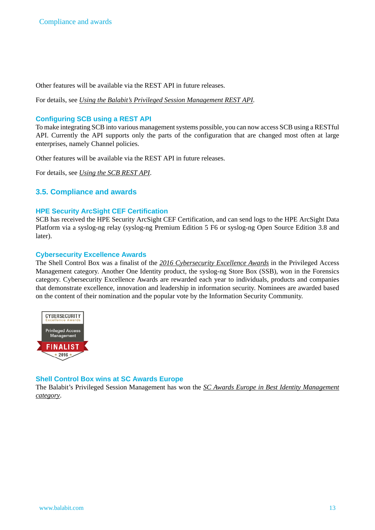Other features will be available via the REST API in future releases.

For details, see *Using the Balabit's Privileged Session [Management](../../scb-tutorial-rest-api/pdf/scb-tutorial-rest-api.pdf#scb-tutorial-rest-api) REST API*.

## **Configuring SCB using a REST API**

To make integrating SCB into various management systems possible, you can now access SCB using a RESTful API. Currently the API supports only the parts of the configuration that are changed most often at large enterprises, namely Channel policies.

Other features will be available via the REST API in future releases.

<span id="page-12-0"></span>For details, see *[Using](https://www.balabit.com/documents/scb-latest-guides/en/scb-tutorial-rest-api/html/index.html) the SCB REST API*.

# **3.5. Compliance and awards**

#### **HPE Security ArcSight CEF Certification**

SCB has received the HPE Security ArcSight CEF Certification, and can send logs to the HPE ArcSight Data Platform via a syslog-ng relay (syslog-ng Premium Edition 5 F6 or syslog-ng Open Source Edition 3.8 and later).

## **Cybersecurity Excellence Awards**

The Shell Control Box was a finalist of the *2016 [Cybersecurity](https://cybersecurity-excellence-awards.com/2016-cybersecurity-product-awards/) Excellence Awards* in the Privileged Access Management category. Another One Identity product, the syslog-ng Store Box (SSB), won in the Forensics category. Cybersecurity Excellence Awards are rewarded each year to individuals, products and companies that demonstrate excellence, innovation and leadership in information security. Nominees are awarded based on the content of their nomination and the popular vote by the Information Security Community.



# **Shell Control Box wins at SC Awards Europe**

The Balabit's Privileged Session Management has won the *SC Awards Europe in Best Identity [Management](http://www.scawardseurope.com/) [category](http://www.scawardseurope.com/)*.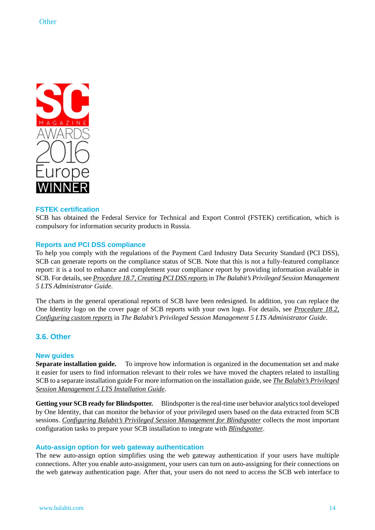

#### **FSTEK certification**

SCB has obtained the Federal Service for Technical and Export Control (FSTEK) certification, which is compulsory for information security products in Russia.

#### **Reports and PCI DSS compliance**

To help you comply with the regulations of the Payment Card Industry Data Security Standard (PCI DSS), SCB can generate reports on the compliance status of SCB. Note that this is not a fully-featured compliance report: it is a tool to enhance and complement your compliance report by providing information available in SCB. For details,see *[Procedure](../../scb-guide-admin/pdf/scb-guide-admin.pdf#scb-pci-dss-reports) 18.7, Creating PCI DSS reports*in *The Balabit's Privileged Session Management 5 LTS Administrator Guide*.

<span id="page-13-0"></span>The charts in the general operational reports of SCB have been redesigned. In addition, you can replace the One Identity logo on the cover page of SCB reports with your own logo. For details, see *[Procedure](../../scb-guide-admin/pdf/scb-guide-admin.pdf#xcb-custom-reports) 18.2, [Configuring](../../scb-guide-admin/pdf/scb-guide-admin.pdf#xcb-custom-reports) custom reports* in *The Balabit's Privileged Session Management 5 LTS Administrator Guide*.

# **3.6. Other**

#### **New guides**

**Separate installation guide.** To improve how information is organized in the documentation set and make it easier for users to find information relevant to their roles we have moved the chapters related to installing SCB to a separate installation guide For more information on the installation guide, see *The Balabit's [Privileged](../../scb-guide-install/pdf/scb-guide-install.pdf#scb-guide-install) Session [Management](../../scb-guide-install/pdf/scb-guide-install.pdf#scb-guide-install) 5 LTS Installation Guide*.

**Getting your SCB ready for Blindspotter.** Blindspotter isthe real-time user behavior analyticstool developed by One Identity, that can monitor the behavior of your privileged users based on the data extracted from SCB sessions. *Configuring Balabit's Privileged Session [Management](../../scb-configuring-bsp/pdf/scb-configuring-bsp.pdf#scb-configuring-bsp) for Blindspotter* collects the most important configuration tasks to prepare your SCB installation to integrate with *[Blindspotter](https://www.balabit.com/privileged-account-analytics)*.

#### **Auto-assign option for web gateway authentication**

The new auto-assign option simplifies using the web gateway authentication if your users have multiple connections. After you enable auto-assignment, your users can turn on auto-assigning for their connections on the web gateway authentication page. After that, your users do not need to access the SCB web interface to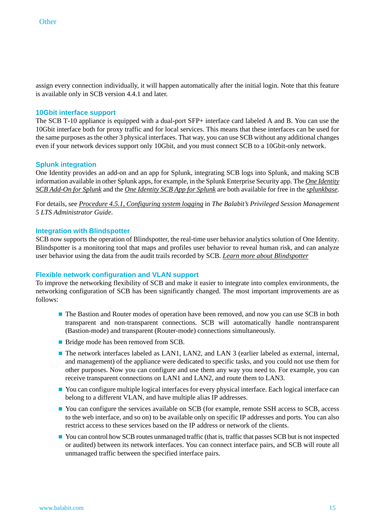assign every connection individually, it will happen automatically after the initial login. Note that this feature is available only in SCB version 4.4.1 and later.

#### **10Gbit interface support**

The SCB T-10 appliance is equipped with a dual-port SFP+ interface card labeled A and B. You can use the 10Gbit interface both for proxy traffic and for local services. This means that these interfaces can be used for the same purposes asthe other 3 physical interfaces. That way, you can use SCB without any additional changes even if your network devices support only 10Gbit, and you must connect SCB to a 10Gbit-only network.

#### **Splunk integration**

One Identity provides an add-on and an app for Splunk, integrating SCB logs into Splunk, and making SCB information available in other Splunk apps, for example, in the Splunk Enterprise Security app. The *One [Identity](https://splunkbase.splunk.com/app/3086/) SCB [Add-On](https://splunkbase.splunk.com/app/3086/) for Splunk* and the *One [Identity](https://splunkbase.splunk.com/app/3085/) SCB App for Splunk* are both available for free in the *[splunkbase](https://splunkbase.splunk.com/)*.

For details, see *Procedure 4.5.1, [Configuring](../../scb-guide-admin/pdf/scb-guide-admin.pdf#scb-remote-logging) system logging* in *The Balabit's Privileged Session Management 5 LTS Administrator Guide*.

#### **Integration with Blindspotter**

SCB now supports the operation of Blindspotter, the real-time user behavior analytics solution of One Identity. Blindspotter is a monitoring tool that maps and profiles user behavior to reveal human risk, and can analyze user behavior using the data from the audit trails recorded by SCB. *Learn more about [Blindspotter](https://www.balabit.com/privileged-account-analytics)*

#### **Flexible network configuration and VLAN support**

To improve the networking flexibility of SCB and make it easier to integrate into complex environments, the networking configuration of SCB has been significantly changed. The most important improvements are as follows:

- The Bastion and Router modes of operation have been removed, and now you can use SCB in both transparent and non-transparent connections. SCB will automatically handle nontransparent (Bastion-mode) and transparent (Router-mode) connections simultaneously.
- Bridge mode has been removed from SCB.
- The network interfaces labeled as LAN1, LAN2, and LAN 3 (earlier labeled as external, internal, and management) of the appliance were dedicated to specific tasks, and you could not use them for other purposes. Now you can configure and use them any way you need to. For example, you can receive transparent connections on LAN1 and LAN2, and route them to LAN3.
- You can configure multiple logical interfaces for every physical interface. Each logical interface can belong to a different VLAN, and have multiple alias IP addresses.
- You can configure the services available on SCB (for example, remote SSH access to SCB, access to the web interface, and so on) to be available only on specific IP addresses and ports. You can also restrict access to these services based on the IP address or network of the clients.
- You can control how SCB routes unmanaged traffic (that is, traffic that passes SCB but is not inspected or audited) between its network interfaces. You can connect interface pairs, and SCB will route all unmanaged traffic between the specified interface pairs.